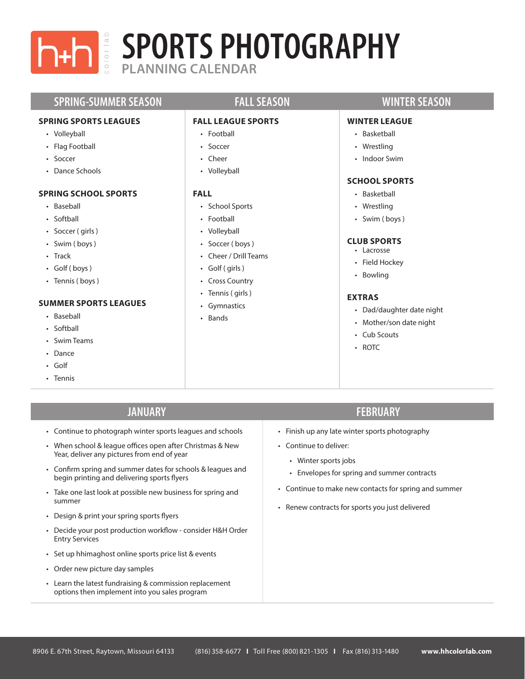

# **PLANNING CALENDAR SPORTS PHOTOGRAPHY**

## **SPRING-SUMMER SEASON FALL SEASON WINTER SEASON**

### **SPRING SPORTS LEAGUES**

- Volleyball
- Flag Football
- Soccer
- Dance Schools

### **SPRING SCHOOL SPORTS**

- Baseball
- Softball
- Soccer ( girls )
- Swim ( boys )
- Track
- Golf ( boys )
- Tennis (boys)

#### **SUMMER SPORTS LEAGUES**

- Baseball
- Softball
- Swim Teams
- Dance
- Golf
- Tennis

### **FALL LEAGUE SPORTS**

- Football
- Soccer
- Cheer
- Volleyball

### **FALL**

- School Sports
- Football
- Volleyball
- Soccer ( boys )
- Cheer / Drill Teams
- Golf ( girls )
- Cross Country
- Tennis ( girls )
- Gymnastics
- Bands

#### **WINTER LEAGUE**

- Basketball
- Wrestling
- Indoor Swim

## **SCHOOL SPORTS**

- Basketball
- Wrestling
- Swim ( boys )

#### **CLUB SPORTS**

- Lacrosse
- Field Hockey
- Bowling

#### **EXTRAS**

- Dad/daughter date night
- Mother/son date night
- Cub Scouts
- ROTC

- Continue to photograph winter sports leagues and schools
- When school & league offices open after Christmas & New Year, deliver any pictures from end of year
- Confirm spring and summer dates for schools & leagues and begin printing and delivering sports flyers
- Take one last look at possible new business for spring and summer
- Design & print your spring sports flyers
- Decide your post production workflow consider H&H Order Entry Services
- Set up hhimaghost online sports price list & events
- Order new picture day samples
- Learn the latest fundraising & commission replacement options then implement into you sales program

## **JANUARY FEBRUARY**

- Finish up any late winter sports photography
- Continue to deliver:
	- Winter sports jobs
	- Envelopes for spring and summer contracts
- Continue to make new contacts for spring and summer
- Renew contracts for sports you just delivered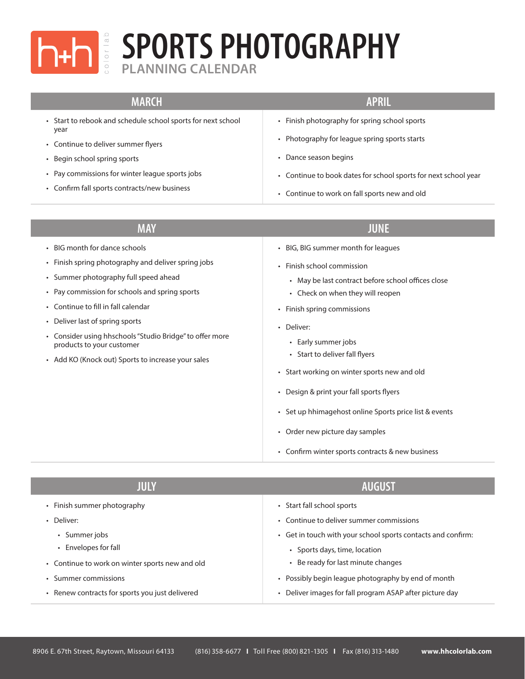

# **PLANNING CALENDAR SPORTS PHOTOGRAPHY**

| <b>MARCH</b>                                                                                                                                                                                                                                                                                                                                                                                         | <b>APRIL</b>                                                                                                                                                                                                                                                                                                                                                                                                                                                                                                   |
|------------------------------------------------------------------------------------------------------------------------------------------------------------------------------------------------------------------------------------------------------------------------------------------------------------------------------------------------------------------------------------------------------|----------------------------------------------------------------------------------------------------------------------------------------------------------------------------------------------------------------------------------------------------------------------------------------------------------------------------------------------------------------------------------------------------------------------------------------------------------------------------------------------------------------|
| Start to rebook and schedule school sports for next school<br>year<br>Continue to deliver summer flyers<br>Begin school spring sports<br>Pay commissions for winter league sports jobs<br>• Confirm fall sports contracts/new business                                                                                                                                                               | • Finish photography for spring school sports<br>• Photography for league spring sports starts<br>• Dance season begins<br>• Continue to book dates for school sports for next school year<br>• Continue to work on fall sports new and old                                                                                                                                                                                                                                                                    |
| <b>MAY</b>                                                                                                                                                                                                                                                                                                                                                                                           | <b>JUNE</b>                                                                                                                                                                                                                                                                                                                                                                                                                                                                                                    |
| • BIG month for dance schools<br>• Finish spring photography and deliver spring jobs<br>• Summer photography full speed ahead<br>• Pay commission for schools and spring sports<br>Continue to fill in fall calendar<br>Deliver last of spring sports<br>• Consider using hhschools "Studio Bridge" to offer more<br>products to your customer<br>• Add KO (Knock out) Sports to increase your sales | • BIG, BIG summer month for leagues<br>· Finish school commission<br>• May be last contract before school offices close<br>• Check on when they will reopen<br>• Finish spring commissions<br>· Deliver:<br>• Early summer jobs<br>• Start to deliver fall flyers<br>• Start working on winter sports new and old<br>• Design & print your fall sports flyers<br>• Set up hhimagehost online Sports price list & events<br>• Order new picture day samples<br>• Confirm winter sports contracts & new business |

| JULY                                            | <b>AUGUST</b>                                                                                 |
|-------------------------------------------------|-----------------------------------------------------------------------------------------------|
| • Finish summer photography                     | • Start fall school sports                                                                    |
| • Deliver:                                      | • Continue to deliver summer commissions                                                      |
| • Summer jobs<br>• Envelopes for fall           | • Get in touch with your school sports contacts and confirm:<br>• Sports days, time, location |
| • Continue to work on winter sports new and old | • Be ready for last minute changes                                                            |
| • Summer commissions                            | • Possibly begin league photography by end of month                                           |
| • Renew contracts for sports you just delivered | • Deliver images for fall program ASAP after picture day                                      |